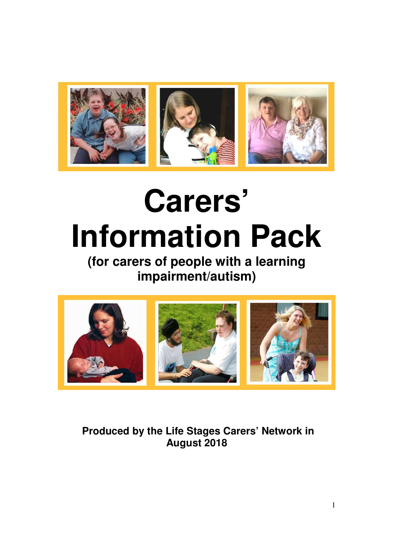

# **Carers' Information Pack**

**(for carers of people with a learning impairment/autism)** 



 **Produced by the Life Stages Carers' Network in August 2018**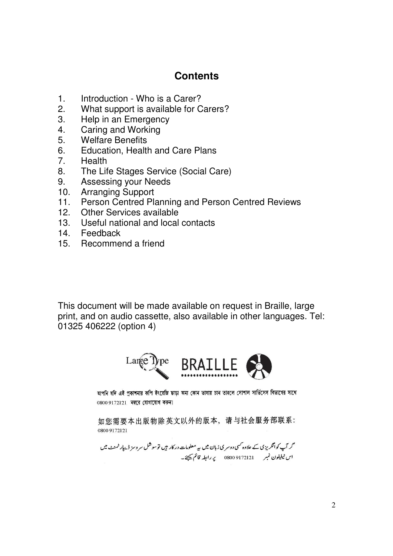## **Contents**

- 1. Introduction Who is a Carer?
- 2. What support is available for Carers?
- 3. Help in an Emergency
- 4. Caring and Working
- 5. Welfare Benefits
- 6. Education, Health and Care Plans
- 7. Health
- 8. The Life Stages Service (Social Care)
- 9. Assessing your Needs
- 10. Arranging Support
- 11. Person Centred Planning and Person Centred Reviews
- 12. Other Services available
- 13. Useful national and local contacts
- 14. Feedback
- 15. Recommend a friend

This document will be made available on request in Braille, large print, and on audio cassette, also available in other languages. Tel: 01325 406222 (option 4)



আপনি যদি এই প্ৰকাশনার কপি ইংরেজি ছাড়া অন্য কোন ভাষায় চান তাহলে সোশাল সার্ভিসেস বিভাগের সাথে 0800 9172121 নম্বরে যোগাযোগ করুন।

如您需要本出版物除英文以外的版本,请与社会服务部联系: 0800 9172121

گر آپ کوانگریز کی کے علاوہ کسی دوسر کی زبان میں بیہ معلومات در کار ہیں توسوشل سر وسز ڈیپار ٹمنٹ میں اس ٹیلیفون نمبر ہے 9172121 08000 پر رابطہ قائم کیچئے۔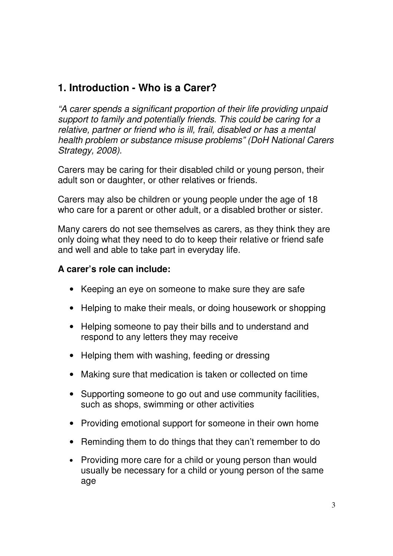## **1. Introduction - Who is a Carer?**

"A carer spends a significant proportion of their life providing unpaid support to family and potentially friends. This could be caring for a relative, partner or friend who is ill, frail, disabled or has a mental health problem or substance misuse problems" (DoH National Carers Strategy, 2008).

Carers may be caring for their disabled child or young person, their adult son or daughter, or other relatives or friends.

Carers may also be children or young people under the age of 18 who care for a parent or other adult, or a disabled brother or sister.

Many carers do not see themselves as carers, as they think they are only doing what they need to do to keep their relative or friend safe and well and able to take part in everyday life.

#### **A carer's role can include:**

- Keeping an eye on someone to make sure they are safe
- Helping to make their meals, or doing housework or shopping
- Helping someone to pay their bills and to understand and respond to any letters they may receive
- Helping them with washing, feeding or dressing
- Making sure that medication is taken or collected on time
- Supporting someone to go out and use community facilities, such as shops, swimming or other activities
- Providing emotional support for someone in their own home
- Reminding them to do things that they can't remember to do
- Providing more care for a child or young person than would usually be necessary for a child or young person of the same age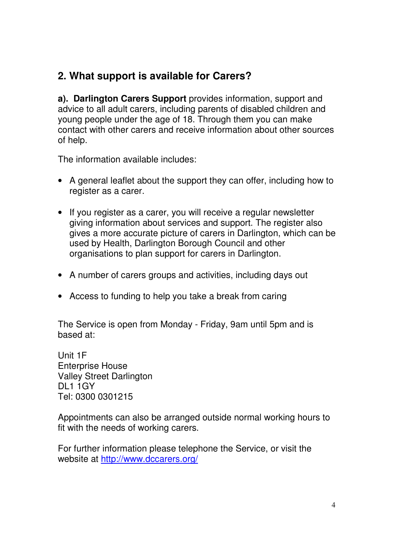## **2. What support is available for Carers?**

**a). Darlington Carers Support** provides information, support and advice to all adult carers, including parents of disabled children and young people under the age of 18. Through them you can make contact with other carers and receive information about other sources of help.

The information available includes:

- A general leaflet about the support they can offer, including how to register as a carer.
- If you register as a carer, you will receive a regular newsletter giving information about services and support. The register also gives a more accurate picture of carers in Darlington, which can be used by Health, Darlington Borough Council and other organisations to plan support for carers in Darlington.
- A number of carers groups and activities, including days out
- Access to funding to help you take a break from caring

The Service is open from Monday - Friday, 9am until 5pm and is based at:

Unit 1F Enterprise House Valley Street Darlington DL1 1GY Tel: 0300 0301215

Appointments can also be arranged outside normal working hours to fit with the needs of working carers.

For further information please telephone the Service, or visit the website at http://www.dccarers.org/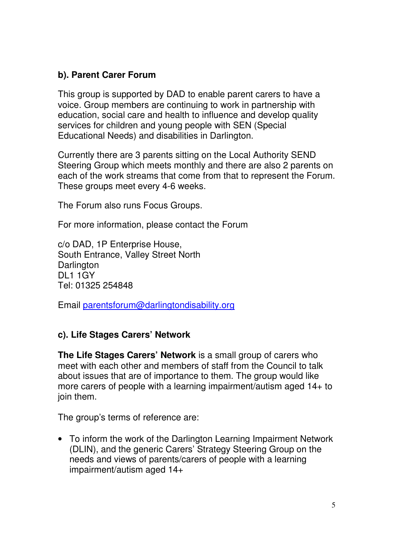#### **b). Parent Carer Forum**

This group is supported by DAD to enable parent carers to have a voice. Group members are continuing to work in partnership with education, social care and health to influence and develop quality services for children and young people with SEN (Special Educational Needs) and disabilities in Darlington.

Currently there are 3 parents sitting on the Local Authority SEND Steering Group which meets monthly and there are also 2 parents on each of the work streams that come from that to represent the Forum. These groups meet every 4-6 weeks.

The Forum also runs Focus Groups.

For more information, please contact the Forum

c/o DAD, 1P Enterprise House, South Entrance, Valley Street North **Darlington** DL1 1GY Tel: 01325 254848

Email parentsforum@darlingtondisability.org

#### **c). Life Stages Carers' Network**

**The Life Stages Carers' Network** is a small group of carers who meet with each other and members of staff from the Council to talk about issues that are of importance to them. The group would like more carers of people with a learning impairment/autism aged 14+ to join them.

The group's terms of reference are:

• To inform the work of the Darlington Learning Impairment Network (DLIN), and the generic Carers' Strategy Steering Group on the needs and views of parents/carers of people with a learning impairment/autism aged 14+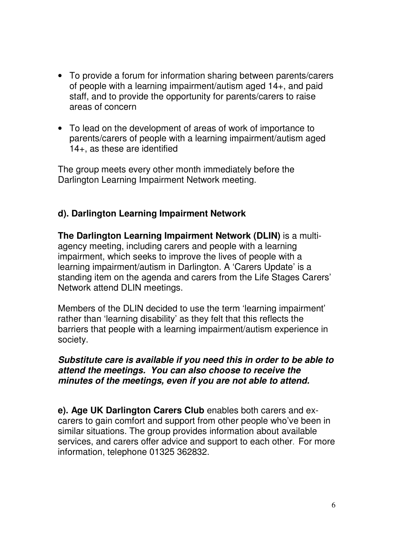- To provide a forum for information sharing between parents/carers of people with a learning impairment/autism aged 14+, and paid staff, and to provide the opportunity for parents/carers to raise areas of concern
- To lead on the development of areas of work of importance to parents/carers of people with a learning impairment/autism aged 14+, as these are identified

The group meets every other month immediately before the Darlington Learning Impairment Network meeting.

#### **d). Darlington Learning Impairment Network**

**The Darlington Learning Impairment Network (DLIN)** is a multiagency meeting, including carers and people with a learning impairment, which seeks to improve the lives of people with a learning impairment/autism in Darlington. A 'Carers Update' is a standing item on the agenda and carers from the Life Stages Carers' Network attend DLIN meetings.

Members of the DLIN decided to use the term 'learning impairment' rather than 'learning disability' as they felt that this reflects the barriers that people with a learning impairment/autism experience in society.

#### **Substitute care is available if you need this in order to be able to attend the meetings. You can also choose to receive the minutes of the meetings, even if you are not able to attend.**

**e). Age UK Darlington Carers Club** enables both carers and excarers to gain comfort and support from other people who've been in similar situations. The group provides information about available services, and carers offer advice and support to each other. For more information, telephone 01325 362832.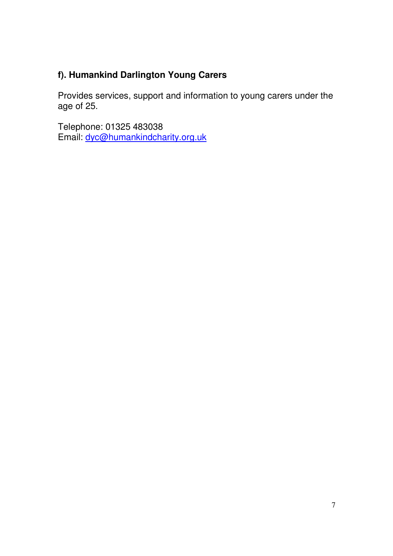## **f). Humankind Darlington Young Carers**

Provides services, support and information to young carers under the age of 25.

Telephone: 01325 483038 Email: dyc@humankindcharity.org.uk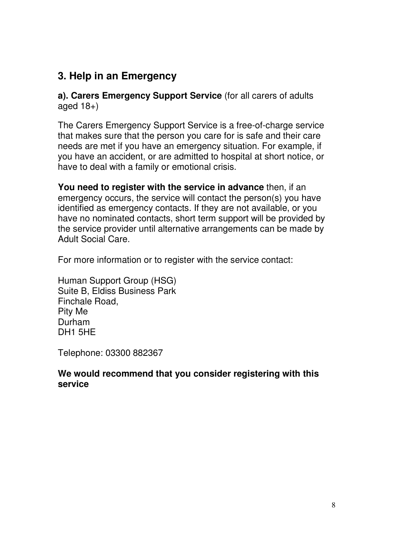## **3. Help in an Emergency**

**a). Carers Emergency Support Service** (for all carers of adults aged  $18+$ )

The Carers Emergency Support Service is a free-of-charge service that makes sure that the person you care for is safe and their care needs are met if you have an emergency situation. For example, if you have an accident, or are admitted to hospital at short notice, or have to deal with a family or emotional crisis.

**You need to register with the service in advance** then, if an emergency occurs, the service will contact the person(s) you have identified as emergency contacts. If they are not available, or you have no nominated contacts, short term support will be provided by the service provider until alternative arrangements can be made by Adult Social Care.

For more information or to register with the service contact:

Human Support Group (HSG) Suite B, Eldiss Business Park Finchale Road, Pity Me Durham DH1 5HE

Telephone: 03300 882367

#### **We would recommend that you consider registering with this service**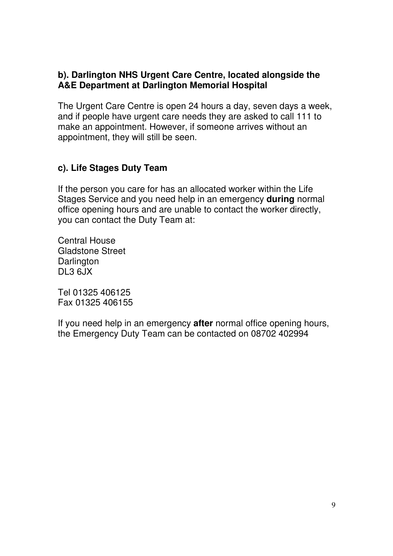#### **b). Darlington NHS Urgent Care Centre, located alongside the A&E Department at Darlington Memorial Hospital**

The Urgent Care Centre is open 24 hours a day, seven days a week, and if people have urgent care needs they are asked to call 111 to make an appointment. However, if someone arrives without an appointment, they will still be seen.

#### **c). Life Stages Duty Team**

If the person you care for has an allocated worker within the Life Stages Service and you need help in an emergency **during** normal office opening hours and are unable to contact the worker directly, you can contact the Duty Team at:

Central House Gladstone Street **Darlington** DL3 6JX

Tel 01325 406125 Fax 01325 406155

If you need help in an emergency **after** normal office opening hours, the Emergency Duty Team can be contacted on 08702 402994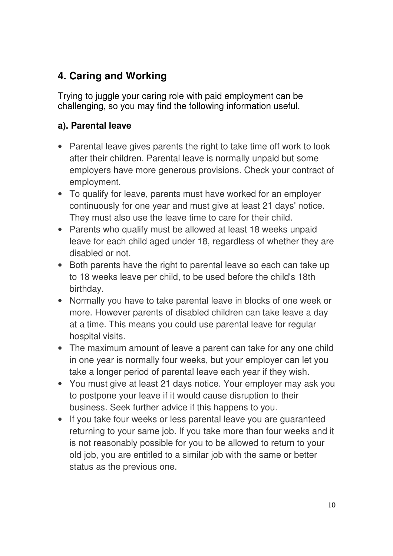# **4. Caring and Working**

Trying to juggle your caring role with paid employment can be challenging, so you may find the following information useful.

### **a). Parental leave**

- Parental leave gives parents the right to take time off work to look after their children. Parental leave is normally unpaid but some employers have more generous provisions. Check your contract of employment.
- To qualify for leave, parents must have worked for an employer continuously for one year and must give at least 21 days' notice. They must also use the leave time to care for their child.
- Parents who qualify must be allowed at least 18 weeks unpaid leave for each child aged under 18, regardless of whether they are disabled or not.
- Both parents have the right to parental leave so each can take up to 18 weeks leave per child, to be used before the child's 18th birthday.
- Normally you have to take parental leave in blocks of one week or more. However parents of disabled children can take leave a day at a time. This means you could use parental leave for regular hospital visits.
- The maximum amount of leave a parent can take for any one child in one year is normally four weeks, but your employer can let you take a longer period of parental leave each year if they wish.
- You must give at least 21 days notice. Your employer may ask you to postpone your leave if it would cause disruption to their business. Seek further advice if this happens to you.
- If you take four weeks or less parental leave you are guaranteed returning to your same job. If you take more than four weeks and it is not reasonably possible for you to be allowed to return to your old job, you are entitled to a similar job with the same or better status as the previous one.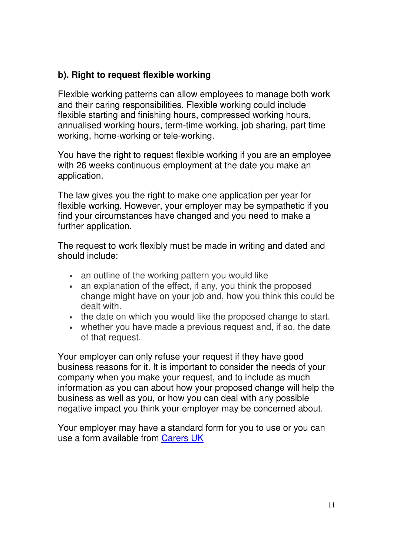#### **b). Right to request flexible working**

Flexible working patterns can allow employees to manage both work and their caring responsibilities. Flexible working could include flexible starting and finishing hours, compressed working hours, annualised working hours, term-time working, job sharing, part time working, home-working or tele-working.

You have the right to request flexible working if you are an employee with 26 weeks continuous employment at the date you make an application.

The law gives you the right to make one application per year for flexible working. However, your employer may be sympathetic if you find your circumstances have changed and you need to make a further application.

The request to work flexibly must be made in writing and dated and should include:

- an outline of the working pattern you would like
- an explanation of the effect, if any, you think the proposed change might have on your job and, how you think this could be dealt with.
- the date on which you would like the proposed change to start.
- whether you have made a previous request and, if so, the date of that request.

Your employer can only refuse your request if they have good business reasons for it. It is important to consider the needs of your company when you make your request, and to include as much information as you can about how your proposed change will help the business as well as you, or how you can deal with any possible negative impact you think your employer may be concerned about.

Your employer may have a standard form for you to use or you can use a form available from Carers UK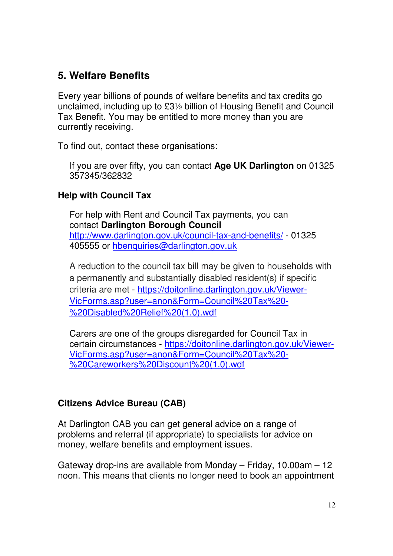## **5. Welfare Benefits**

Every year billions of pounds of welfare benefits and tax credits go unclaimed, including up to £3½ billion of Housing Benefit and Council Tax Benefit. You may be entitled to more money than you are currently receiving.

To find out, contact these organisations:

If you are over fifty, you can contact **Age UK Darlington** on 01325 357345/362832

#### **Help with Council Tax**

For help with Rent and Council Tax payments, you can contact **Darlington Borough Council**  http://www.darlington.gov.uk/council-tax-and-benefits/ - 01325 405555 or hbenquiries@darlington.gov.uk

A reduction to the council tax bill may be given to households with a permanently and substantially disabled resident(s) if specific criteria are met - https://doitonline.darlington.gov.uk/Viewer-VicForms.asp?user=anon&Form=Council%20Tax%20- %20Disabled%20Relief%20(1.0).wdf

Carers are one of the groups disregarded for Council Tax in certain circumstances - https://doitonline.darlington.gov.uk/Viewer-VicForms.asp?user=anon&Form=Council%20Tax%20- %20Careworkers%20Discount%20(1.0).wdf

#### **Citizens Advice Bureau (CAB)**

At Darlington CAB you can get general advice on a range of problems and referral (if appropriate) to specialists for advice on money, welfare benefits and employment issues.

Gateway drop-ins are available from Monday – Friday, 10.00am – 12 noon. This means that clients no longer need to book an appointment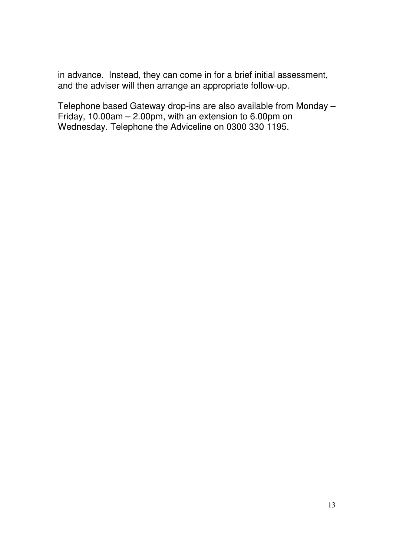in advance. Instead, they can come in for a brief initial assessment, and the adviser will then arrange an appropriate follow-up.

Telephone based Gateway drop-ins are also available from Monday – Friday, 10.00am – 2.00pm, with an extension to 6.00pm on Wednesday. Telephone the Adviceline on 0300 330 1195.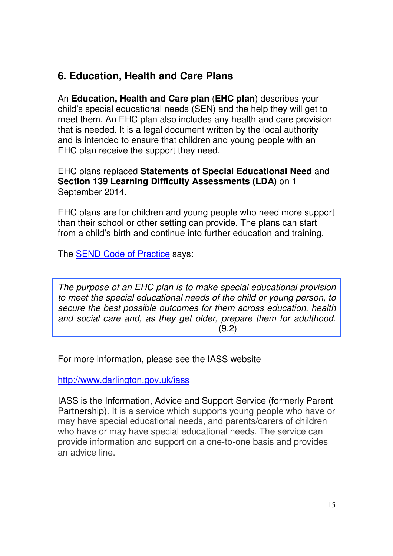## **6. Education, Health and Care Plans**

An **Education, Health and Care plan** (**EHC plan**) describes your child's special educational needs (SEN) and the help they will get to meet them. An EHC plan also includes any health and care provision that is needed. It is a legal document written by the local authority and is intended to ensure that children and young people with an EHC plan receive the support they need.

EHC plans replaced **Statements of Special Educational Need** and **Section 139 Learning Difficulty Assessments (LDA)** on 1 September 2014.

EHC plans are for children and young people who need more support than their school or other setting can provide. The plans can start from a child's birth and continue into further education and training.

The SEND Code of Practice says:

The purpose of an EHC plan is to make special educational provision to meet the special educational needs of the child or young person, to secure the best possible outcomes for them across education, health and social care and, as they get older, prepare them for adulthood.  $(9.2)$ 

For more information, please see the IASS website

http://www.darlington.gov.uk/iass

IASS is the Information, Advice and Support Service (formerly Parent Partnership). It is a service which supports young people who have or may have special educational needs, and parents/carers of children who have or may have special educational needs. The service can provide information and support on a one-to-one basis and provides an advice line.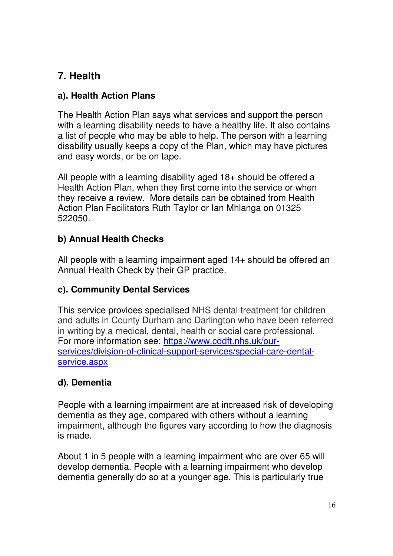# **7. Health**

## **a). Health Action Plans**

The Health Action Plan says what services and support the person with a learning disability needs to have a healthy life. It also contains a list of people who may be able to help. The person with a learning disability usually keeps a copy of the Plan, which may have pictures and easy words, or be on tape.

All people with a learning disability aged 18+ should be offered a Health Action Plan, when they first come into the service or when they receive a review. More details can be obtained from Health Action Plan Facilitators Ruth Taylor or Ian Mhlanga on 01325 522050.

## **b) Annual Health Checks**

All people with a learning impairment aged 14+ should be offered an Annual Health Check by their GP practice.

## **c). Community Dental Services**

This service provides specialised NHS dental treatment for children and adults in County Durham and Darlington who have been referred in writing by a medical, dental, health or social care professional. For more information see: https://www.cddft.nhs.uk/ourservices/division-of-clinical-support-services/special-care-dentalservice.aspx

## **d). Dementia**

People with a learning impairment are at increased risk of developing dementia as they age, compared with others without a learning impairment, although the figures vary according to how the diagnosis is made.

About 1 in 5 people with a learning impairment who are over 65 will develop dementia. People with a learning impairment who develop dementia generally do so at a younger age. This is particularly true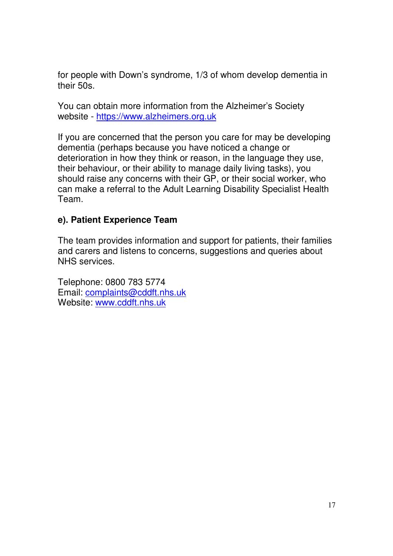for people with Down's syndrome, 1/3 of whom develop dementia in their 50s.

You can obtain more information from the Alzheimer's Society website - https://www.alzheimers.org.uk

If you are concerned that the person you care for may be developing dementia (perhaps because you have noticed a change or deterioration in how they think or reason, in the language they use, their behaviour, or their ability to manage daily living tasks), you should raise any concerns with their GP, or their social worker, who can make a referral to the Adult Learning Disability Specialist Health Team.

#### **e). Patient Experience Team**

The team provides information and support for patients, their families and carers and listens to concerns, suggestions and queries about NHS services.

Telephone: 0800 783 5774 Email: complaints@cddft.nhs.uk Website: www.cddft.nhs.uk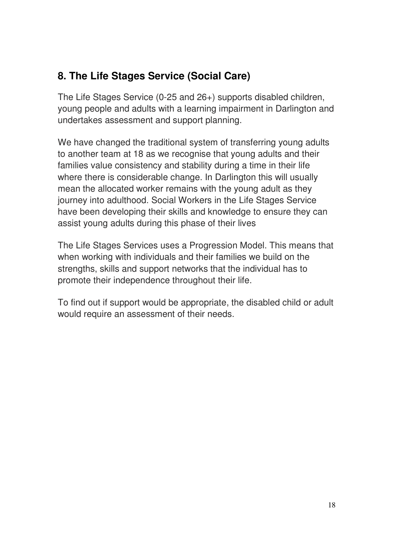# **8. The Life Stages Service (Social Care)**

The Life Stages Service (0-25 and 26+) supports disabled children, young people and adults with a learning impairment in Darlington and undertakes assessment and support planning.

We have changed the traditional system of transferring young adults to another team at 18 as we recognise that young adults and their families value consistency and stability during a time in their life where there is considerable change. In Darlington this will usually mean the allocated worker remains with the young adult as they journey into adulthood. Social Workers in the Life Stages Service have been developing their skills and knowledge to ensure they can assist young adults during this phase of their lives

The Life Stages Services uses a Progression Model. This means that when working with individuals and their families we build on the strengths, skills and support networks that the individual has to promote their independence throughout their life.

To find out if support would be appropriate, the disabled child or adult would require an assessment of their needs.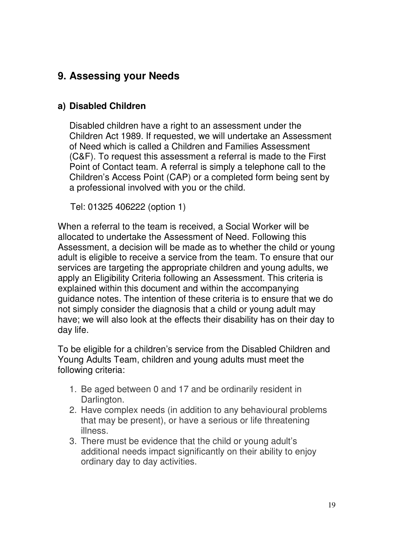## **9. Assessing your Needs**

#### **a) Disabled Children**

Disabled children have a right to an assessment under the Children Act 1989. If requested, we will undertake an Assessment of Need which is called a Children and Families Assessment (C&F). To request this assessment a referral is made to the First Point of Contact team. A referral is simply a telephone call to the Children's Access Point (CAP) or a completed form being sent by a professional involved with you or the child.

Tel: 01325 406222 (option 1)

When a referral to the team is received, a Social Worker will be allocated to undertake the Assessment of Need. Following this Assessment, a decision will be made as to whether the child or young adult is eligible to receive a service from the team. To ensure that our services are targeting the appropriate children and young adults, we apply an Eligibility Criteria following an Assessment. This criteria is explained within this document and within the accompanying guidance notes. The intention of these criteria is to ensure that we do not simply consider the diagnosis that a child or young adult may have; we will also look at the effects their disability has on their day to day life.

To be eligible for a children's service from the Disabled Children and Young Adults Team, children and young adults must meet the following criteria:

- 1. Be aged between 0 and 17 and be ordinarily resident in Darlington.
- 2. Have complex needs (in addition to any behavioural problems that may be present), or have a serious or life threatening illness.
- 3. There must be evidence that the child or young adult's additional needs impact significantly on their ability to enjoy ordinary day to day activities.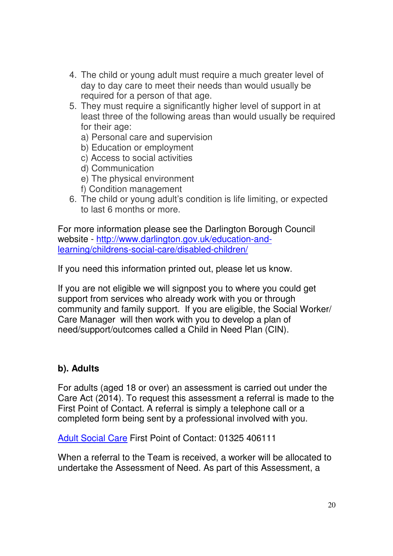- 4. The child or young adult must require a much greater level of day to day care to meet their needs than would usually be required for a person of that age.
- 5. They must require a significantly higher level of support in at least three of the following areas than would usually be required for their age:
	- a) Personal care and supervision
	- b) Education or employment
	- c) Access to social activities
	- d) Communication
	- e) The physical environment
	- f) Condition management
- 6. The child or young adult's condition is life limiting, or expected to last 6 months or more.

For more information please see the Darlington Borough Council website - http://www.darlington.gov.uk/education-andlearning/childrens-social-care/disabled-children/

If you need this information printed out, please let us know.

If you are not eligible we will signpost you to where you could get support from services who already work with you or through community and family support. If you are eligible, the Social Worker/ Care Manager will then work with you to develop a plan of need/support/outcomes called a Child in Need Plan (CIN).

#### **b). Adults**

For adults (aged 18 or over) an assessment is carried out under the Care Act (2014). To request this assessment a referral is made to the First Point of Contact. A referral is simply a telephone call or a completed form being sent by a professional involved with you.

Adult Social Care First Point of Contact: 01325 406111

When a referral to the Team is received, a worker will be allocated to undertake the Assessment of Need. As part of this Assessment, a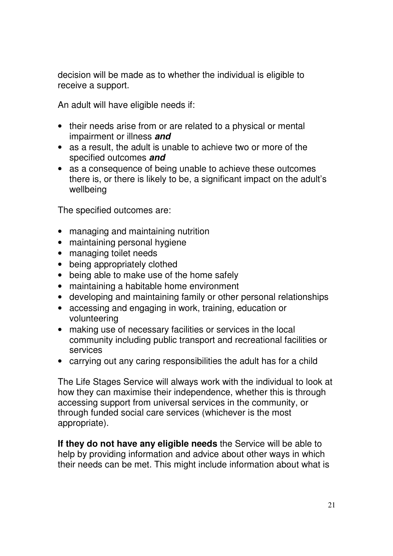decision will be made as to whether the individual is eligible to receive a support.

An adult will have eligible needs if:

- their needs arise from or are related to a physical or mental impairment or illness **and**
- as a result, the adult is unable to achieve two or more of the specified outcomes **and**
- as a consequence of being unable to achieve these outcomes there is, or there is likely to be, a significant impact on the adult's wellbeing

The specified outcomes are:

- managing and maintaining nutrition
- maintaining personal hygiene
- managing toilet needs
- being appropriately clothed
- being able to make use of the home safely
- maintaining a habitable home environment
- developing and maintaining family or other personal relationships
- accessing and engaging in work, training, education or volunteering
- making use of necessary facilities or services in the local community including public transport and recreational facilities or services
- carrying out any caring responsibilities the adult has for a child

The Life Stages Service will always work with the individual to look at how they can maximise their independence, whether this is through accessing support from universal services in the community, or through funded social care services (whichever is the most appropriate).

**If they do not have any eligible needs** the Service will be able to help by providing information and advice about other ways in which their needs can be met. This might include information about what is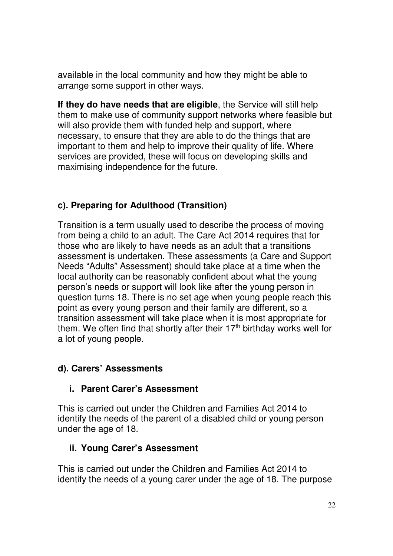available in the local community and how they might be able to arrange some support in other ways.

**If they do have needs that are eligible**, the Service will still help them to make use of community support networks where feasible but will also provide them with funded help and support, where necessary, to ensure that they are able to do the things that are important to them and help to improve their quality of life. Where services are provided, these will focus on developing skills and maximising independence for the future.

## **c). Preparing for Adulthood (Transition)**

Transition is a term usually used to describe the process of moving from being a child to an adult. The Care Act 2014 requires that for those who are likely to have needs as an adult that a transitions assessment is undertaken. These assessments (a Care and Support Needs "Adults" Assessment) should take place at a time when the local authority can be reasonably confident about what the young person's needs or support will look like after the young person in question turns 18. There is no set age when young people reach this point as every young person and their family are different, so a transition assessment will take place when it is most appropriate for them. We often find that shortly after their  $17<sup>th</sup>$  birthday works well for a lot of young people.

#### **d). Carers' Assessments**

#### **i. Parent Carer's Assessment**

This is carried out under the Children and Families Act 2014 to identify the needs of the parent of a disabled child or young person under the age of 18.

#### **ii. Young Carer's Assessment**

This is carried out under the Children and Families Act 2014 to identify the needs of a young carer under the age of 18. The purpose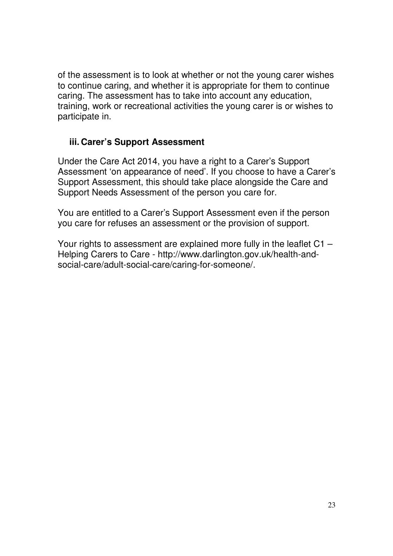of the assessment is to look at whether or not the young carer wishes to continue caring, and whether it is appropriate for them to continue caring. The assessment has to take into account any education, training, work or recreational activities the young carer is or wishes to participate in.

#### **iii. Carer's Support Assessment**

Under the Care Act 2014, you have a right to a Carer's Support Assessment 'on appearance of need'. If you choose to have a Carer's Support Assessment, this should take place alongside the Care and Support Needs Assessment of the person you care for.

You are entitled to a Carer's Support Assessment even if the person you care for refuses an assessment or the provision of support.

Your rights to assessment are explained more fully in the leaflet C1 – Helping Carers to Care - http://www.darlington.gov.uk/health-andsocial-care/adult-social-care/caring-for-someone/.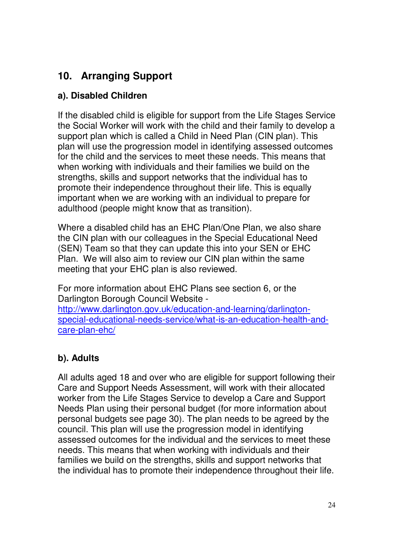# **10. Arranging Support**

#### **a). Disabled Children**

If the disabled child is eligible for support from the Life Stages Service the Social Worker will work with the child and their family to develop a support plan which is called a Child in Need Plan (CIN plan). This plan will use the progression model in identifying assessed outcomes for the child and the services to meet these needs. This means that when working with individuals and their families we build on the strengths, skills and support networks that the individual has to promote their independence throughout their life. This is equally important when we are working with an individual to prepare for adulthood (people might know that as transition).

Where a disabled child has an EHC Plan/One Plan, we also share the CIN plan with our colleagues in the Special Educational Need (SEN) Team so that they can update this into your SEN or EHC Plan. We will also aim to review our CIN plan within the same meeting that your EHC plan is also reviewed.

For more information about EHC Plans see section 6, or the Darlington Borough Council Website http://www.darlington.gov.uk/education-and-learning/darlingtonspecial-educational-needs-service/what-is-an-education-health-andcare-plan-ehc/

## **b). Adults**

All adults aged 18 and over who are eligible for support following their Care and Support Needs Assessment, will work with their allocated worker from the Life Stages Service to develop a Care and Support Needs Plan using their personal budget (for more information about personal budgets see page 30). The plan needs to be agreed by the council. This plan will use the progression model in identifying assessed outcomes for the individual and the services to meet these needs. This means that when working with individuals and their families we build on the strengths, skills and support networks that the individual has to promote their independence throughout their life.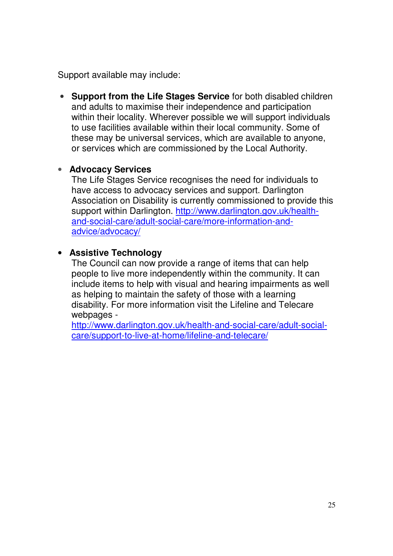Support available may include:

• **Support from the Life Stages Service** for both disabled children and adults to maximise their independence and participation within their locality. Wherever possible we will support individuals to use facilities available within their local community. Some of these may be universal services, which are available to anyone, or services which are commissioned by the Local Authority.

#### • **Advocacy Services**

The Life Stages Service recognises the need for individuals to have access to advocacy services and support. Darlington Association on Disability is currently commissioned to provide this support within Darlington. http://www.darlington.gov.uk/healthand-social-care/adult-social-care/more-information-andadvice/advocacy/

#### • **Assistive Technology**

The Council can now provide a range of items that can help people to live more independently within the community. It can include items to help with visual and hearing impairments as well as helping to maintain the safety of those with a learning disability. For more information visit the Lifeline and Telecare webpages -

http://www.darlington.gov.uk/health-and-social-care/adult-socialcare/support-to-live-at-home/lifeline-and-telecare/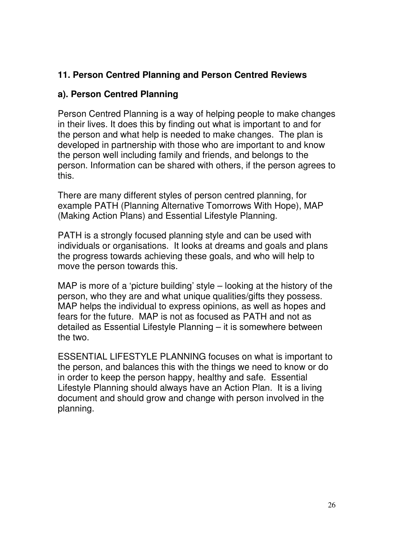#### **11. Person Centred Planning and Person Centred Reviews**

#### **a). Person Centred Planning**

Person Centred Planning is a way of helping people to make changes in their lives. It does this by finding out what is important to and for the person and what help is needed to make changes. The plan is developed in partnership with those who are important to and know the person well including family and friends, and belongs to the person. Information can be shared with others, if the person agrees to this.

There are many different styles of person centred planning, for example PATH (Planning Alternative Tomorrows With Hope), MAP (Making Action Plans) and Essential Lifestyle Planning.

PATH is a strongly focused planning style and can be used with individuals or organisations. It looks at dreams and goals and plans the progress towards achieving these goals, and who will help to move the person towards this.

MAP is more of a 'picture building' style – looking at the history of the person, who they are and what unique qualities/gifts they possess. MAP helps the individual to express opinions, as well as hopes and fears for the future. MAP is not as focused as PATH and not as detailed as Essential Lifestyle Planning – it is somewhere between the two.

ESSENTIAL LIFESTYLE PLANNING focuses on what is important to the person, and balances this with the things we need to know or do in order to keep the person happy, healthy and safe. Essential Lifestyle Planning should always have an Action Plan. It is a living document and should grow and change with person involved in the planning.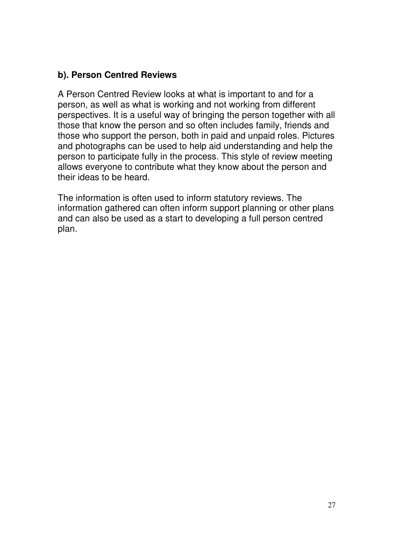#### **b). Person Centred Reviews**

A Person Centred Review looks at what is important to and for a person, as well as what is working and not working from different perspectives. It is a useful way of bringing the person together with all those that know the person and so often includes family, friends and those who support the person, both in paid and unpaid roles. Pictures and photographs can be used to help aid understanding and help the person to participate fully in the process. This style of review meeting allows everyone to contribute what they know about the person and their ideas to be heard.

The information is often used to inform statutory reviews. The information gathered can often inform support planning or other plans and can also be used as a start to developing a full person centred plan.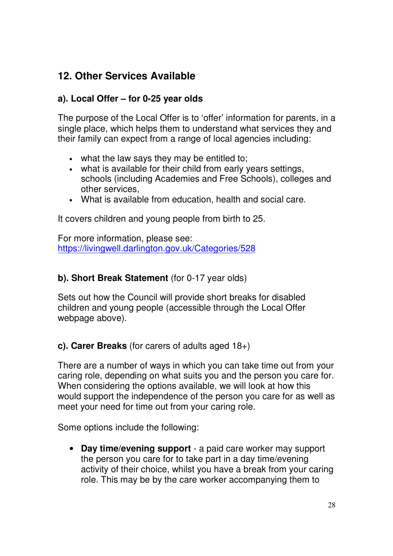## **12. Other Services Available**

#### **a). Local Offer – for 0-25 year olds**

The purpose of the Local Offer is to 'offer' information for parents, in a single place, which helps them to understand what services they and their family can expect from a range of local agencies including:

- what the law says they may be entitled to;
- what is available for their child from early years settings, schools (including Academies and Free Schools), colleges and other services,
- What is available from education, health and social care.

It covers children and young people from birth to 25.

For more information, please see: https://livingwell.darlington.gov.uk/Categories/528

#### **b). Short Break Statement** (for 0-17 year olds)

Sets out how the Council will provide short breaks for disabled children and young people (accessible through the Local Offer webpage above).

**c). Carer Breaks** (for carers of adults aged 18+)

There are a number of ways in which you can take time out from your caring role, depending on what suits you and the person you care for. When considering the options available, we will look at how this would support the independence of the person you care for as well as meet your need for time out from your caring role.

Some options include the following:

• **Day time/evening support** - a paid care worker may support the person you care for to take part in a day time/evening activity of their choice, whilst you have a break from your caring role. This may be by the care worker accompanying them to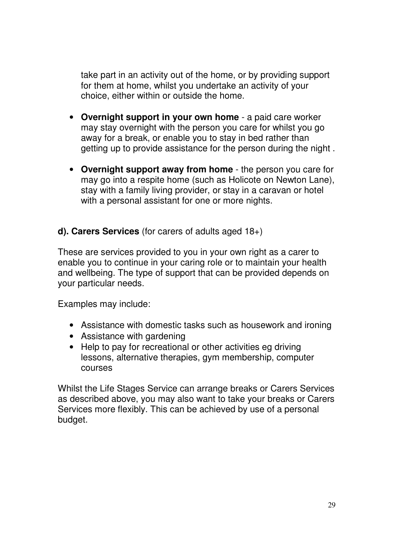take part in an activity out of the home, or by providing support for them at home, whilst you undertake an activity of your choice, either within or outside the home.

- **Overnight support in your own home** a paid care worker may stay overnight with the person you care for whilst you go away for a break, or enable you to stay in bed rather than getting up to provide assistance for the person during the night .
- **Overnight support away from home** the person you care for may go into a respite home (such as Holicote on Newton Lane), stay with a family living provider, or stay in a caravan or hotel with a personal assistant for one or more nights.
- **d). Carers Services** (for carers of adults aged 18+)

These are services provided to you in your own right as a carer to enable you to continue in your caring role or to maintain your health and wellbeing. The type of support that can be provided depends on your particular needs.

Examples may include:

- Assistance with domestic tasks such as housework and ironing
- Assistance with gardening
- Help to pay for recreational or other activities eg driving lessons, alternative therapies, gym membership, computer courses

Whilst the Life Stages Service can arrange breaks or Carers Services as described above, you may also want to take your breaks or Carers Services more flexibly. This can be achieved by use of a personal budget.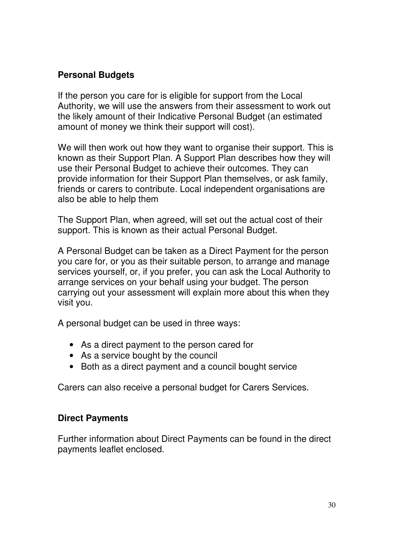#### **Personal Budgets**

If the person you care for is eligible for support from the Local Authority, we will use the answers from their assessment to work out the likely amount of their Indicative Personal Budget (an estimated amount of money we think their support will cost).

We will then work out how they want to organise their support. This is known as their Support Plan. A Support Plan describes how they will use their Personal Budget to achieve their outcomes. They can provide information for their Support Plan themselves, or ask family, friends or carers to contribute. Local independent organisations are also be able to help them

The Support Plan, when agreed, will set out the actual cost of their support. This is known as their actual Personal Budget.

A Personal Budget can be taken as a Direct Payment for the person you care for, or you as their suitable person, to arrange and manage services yourself, or, if you prefer, you can ask the Local Authority to arrange services on your behalf using your budget. The person carrying out your assessment will explain more about this when they visit you.

A personal budget can be used in three ways:

- As a direct payment to the person cared for
- As a service bought by the council
- Both as a direct payment and a council bought service

Carers can also receive a personal budget for Carers Services.

#### **Direct Payments**

Further information about Direct Payments can be found in the direct payments leaflet enclosed.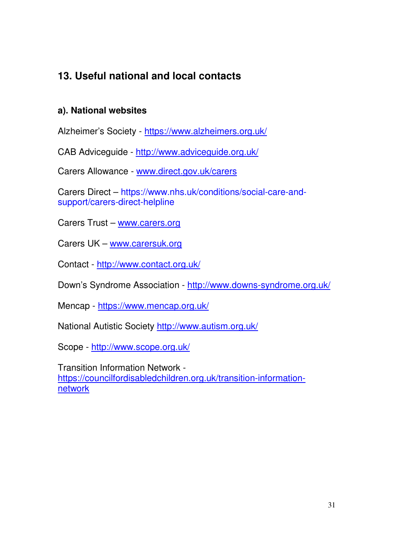# **13. Useful national and local contacts**

#### **a). National websites**

Alzheimer's Society - https://www.alzheimers.org.uk/

CAB Adviceguide - http://www.adviceguide.org.uk/

Carers Allowance - www.direct.gov.uk/carers

Carers Direct – https://www.nhs.uk/conditions/social-care-andsupport/carers-direct-helpline

Carers Trust – www.carers.org

Carers UK – www.carersuk.org

Contact - http://www.contact.org.uk/

Down's Syndrome Association - http://www.downs-syndrome.org.uk/

Mencap - https://www.mencap.org.uk/

National Autistic Society http://www.autism.org.uk/

Scope - http://www.scope.org.uk/

Transition Information Network https://councilfordisabledchildren.org.uk/transition-informationnetwork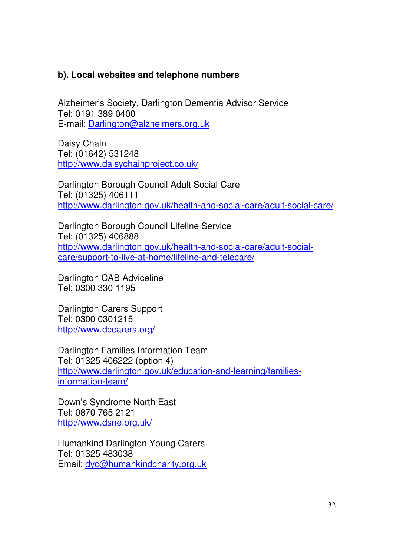#### **b). Local websites and telephone numbers**

Alzheimer's Society, Darlington Dementia Advisor Service Tel: 0191 389 0400 E-mail: Darlington@alzheimers.org.uk

Daisy Chain Tel: (01642) 531248 http://www.daisychainproject.co.uk/

Darlington Borough Council Adult Social Care Tel: (01325) 406111 http://www.darlington.gov.uk/health-and-social-care/adult-social-care/

Darlington Borough Council Lifeline Service Tel: (01325) 406888 http://www.darlington.gov.uk/health-and-social-care/adult-socialcare/support-to-live-at-home/lifeline-and-telecare/

Darlington CAB Adviceline Tel: 0300 330 1195

Darlington Carers Support Tel: 0300 0301215 http://www.dccarers.org/

Darlington Families Information Team Tel: 01325 406222 (option 4) http://www.darlington.gov.uk/education-and-learning/familiesinformation-team/

Down's Syndrome North East Tel: 0870 765 2121 http://www.dsne.org.uk/

Humankind Darlington Young Carers Tel: 01325 483038 Email: dyc@humankindcharity.org.uk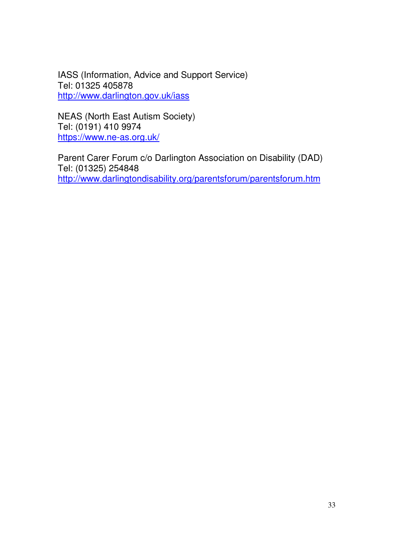IASS (Information, Advice and Support Service) Tel: 01325 405878 http://www.darlington.gov.uk/iass

NEAS (North East Autism Society) Tel: (0191) 410 9974 https://www.ne-as.org.uk/

Parent Carer Forum c/o Darlington Association on Disability (DAD) Tel: (01325) 254848 http://www.darlingtondisability.org/parentsforum/parentsforum.htm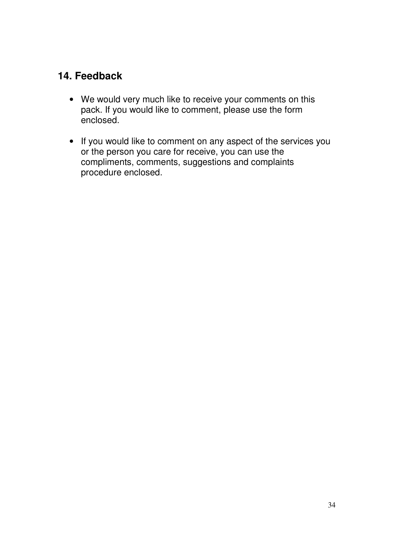## **14. Feedback**

- We would very much like to receive your comments on this pack. If you would like to comment, please use the form enclosed.
- If you would like to comment on any aspect of the services you or the person you care for receive, you can use the compliments, comments, suggestions and complaints procedure enclosed.